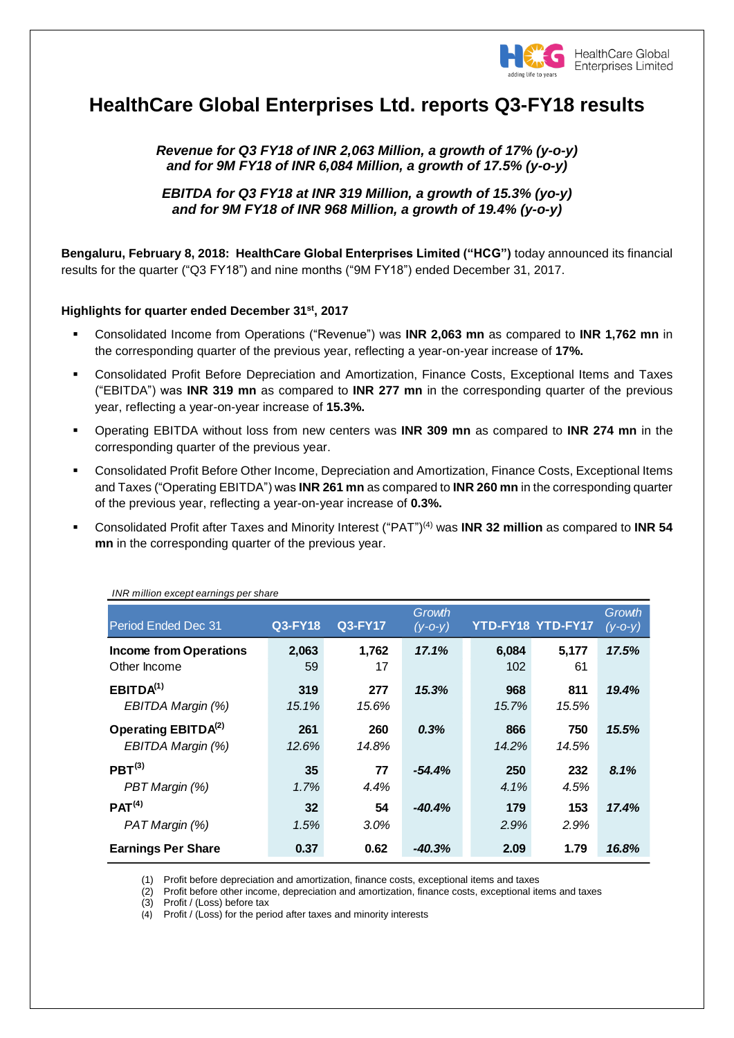

# **HealthCare Global Enterprises Ltd. reports Q3-FY18 results**

*Revenue for Q3 FY18 of INR 2,063 Million, a growth of 17% (y-o-y) and for 9M FY18 of INR 6,084 Million, a growth of 17.5% (y-o-y)* 

*EBITDA for Q3 FY18 at INR 319 Million, a growth of 15.3% (yo-y) and for 9M FY18 of INR 968 Million, a growth of 19.4% (y-o-y)*

**Bengaluru, February 8, 2018: HealthCare Global Enterprises Limited ("HCG")** today announced its financial results for the quarter ("Q3 FY18") and nine months ("9M FY18") ended December 31, 2017.

### **Highlights for quarter ended December 31st , 2017**

- Consolidated Income from Operations ("Revenue") was **INR 2,063 mn** as compared to **INR 1,762 mn** in the corresponding quarter of the previous year, reflecting a year-on-year increase of **17%.**
- Consolidated Profit Before Depreciation and Amortization, Finance Costs, Exceptional Items and Taxes ("EBITDA") was **INR 319 mn** as compared to **INR 277 mn** in the corresponding quarter of the previous year, reflecting a year-on-year increase of **15.3%.**
- Operating EBITDA without loss from new centers was **INR 309 mn** as compared to **INR 274 mn** in the corresponding quarter of the previous year.
- Consolidated Profit Before Other Income, Depreciation and Amortization, Finance Costs, Exceptional Items and Taxes ("Operating EBITDA") was **INR 261 mn** as compared to **INR 260 mn** in the corresponding quarter of the previous year, reflecting a year-on-year increase of **0.3%.**
- Consolidated Profit after Taxes and Minority Interest ("PAT") (4) was **INR 32 million** as compared to **INR 54 mn** in the corresponding quarter of the previous year.

| INR million except earnings per share                |                |                |                     |              |                   |                         |
|------------------------------------------------------|----------------|----------------|---------------------|--------------|-------------------|-------------------------|
| Period Ended Dec 31                                  | <b>Q3-FY18</b> | <b>Q3-FY17</b> | Growth<br>$(y-O-y)$ |              | YTD-FY18 YTD-FY17 | Growth<br>$(y - 0 - y)$ |
| <b>Income from Operations</b><br>Other Income        | 2,063<br>59    | 1,762<br>17    | 17.1%               | 6,084<br>102 | 5,177<br>61       | 17.5%                   |
| EBITDA <sup>(1)</sup><br>EBITDA Margin (%)           | 319<br>15.1%   | 277<br>15.6%   | 15.3%               | 968<br>15.7% | 811<br>15.5%      | 19.4%                   |
| Operating EBITDA <sup>(2)</sup><br>EBITDA Margin (%) | 261<br>12.6%   | 260<br>14.8%   | 0.3%                | 866<br>14.2% | 750<br>14.5%      | 15.5%                   |
| PBT <sup>(3)</sup><br>PBT Margin (%)                 | 35<br>$1.7\%$  | 77<br>4.4%     | $-54.4%$            | 250<br>4.1%  | 232<br>4.5%       | 8.1%                    |
| PAT <sup>(4)</sup><br>PAT Margin (%)                 | 32<br>1.5%     | 54<br>$3.0\%$  | $-40.4%$            | 179<br>2.9%  | 153<br>2.9%       | 17.4%                   |
| <b>Earnings Per Share</b>                            | 0.37           | 0.62           | $-40.3%$            | 2.09         | 1.79              | 16.8%                   |

(1) Profit before depreciation and amortization, finance costs, exceptional items and taxes

(2) Profit before other income, depreciation and amortization, finance costs, exceptional items and taxes

(3) Profit / (Loss) before tax

(4) Profit / (Loss) for the period after taxes and minority interests